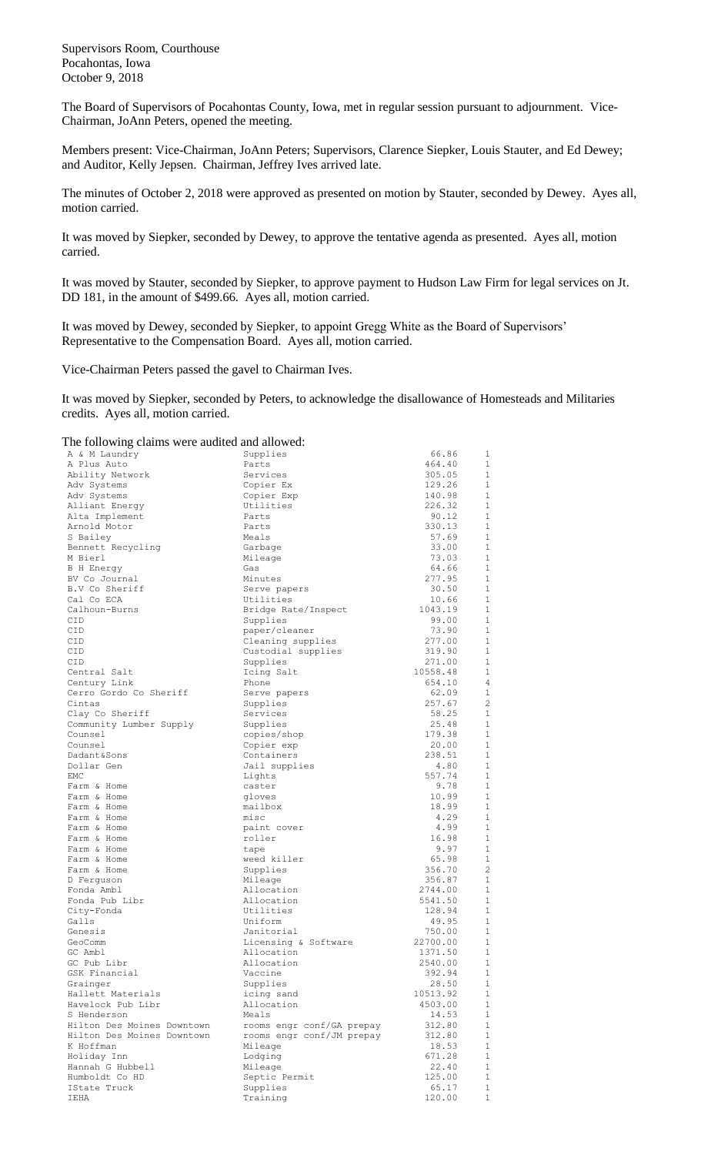Supervisors Room, Courthouse Pocahontas, Iowa October 9, 2018

The Board of Supervisors of Pocahontas County, Iowa, met in regular session pursuant to adjournment. Vice-Chairman, JoAnn Peters, opened the meeting.

Members present: Vice-Chairman, JoAnn Peters; Supervisors, Clarence Siepker, Louis Stauter, and Ed Dewey; and Auditor, Kelly Jepsen. Chairman, Jeffrey Ives arrived late.

The minutes of October 2, 2018 were approved as presented on motion by Stauter, seconded by Dewey. Ayes all, motion carried.

It was moved by Siepker, seconded by Dewey, to approve the tentative agenda as presented. Ayes all, motion carried.

It was moved by Stauter, seconded by Siepker, to approve payment to Hudson Law Firm for legal services on Jt. DD 181, in the amount of \$499.66. Ayes all, motion carried.

It was moved by Dewey, seconded by Siepker, to appoint Gregg White as the Board of Supervisors' Representative to the Compensation Board. Ayes all, motion carried.

Vice-Chairman Peters passed the gavel to Chairman Ives.

It was moved by Siepker, seconded by Peters, to acknowledge the disallowance of Homesteads and Militaries credits. Ayes all, motion carried.

The following claims were audited and allowed:

| The following claims were audited and allowed: |                           |                    |                   |
|------------------------------------------------|---------------------------|--------------------|-------------------|
| A & M Laundry                                  | Supplies                  | 66.86              | 1                 |
| A Plus Auto                                    | Parts                     | 464.40             | 1                 |
| Ability Network                                | Services                  | 305.05             | 1                 |
| Adv Systems                                    | Copier Ex                 | 129.26             | 1                 |
| Adv Systems                                    | Copier Exp                | 140.98             | $\mathbf{1}$      |
| Alliant Energy                                 | Utilities                 | 226.32             | 1                 |
| Alta Implement                                 | Parts                     | 90.12              | 1                 |
| Arnold Motor                                   | Parts                     | 330.13             | $\mathbf 1$       |
| S Bailey                                       | Meals                     | 57.69              | $\mathbf{1}$      |
| Bennett Recycling                              | Garbage                   | 33.00              | $\mathbf{1}$      |
| M Bierl                                        | Mileage                   | 73.03              | $\mathbf{1}$      |
| <b>B</b> H Energy                              | Gas                       | 64.66              | $\mathbf{1}$      |
| BV Co Journal                                  | Minutes                   | 277.95             | 1                 |
| B.V Co Sheriff                                 | Serve papers              | 30.50              | 1                 |
| Cal Co ECA                                     | Utilities                 | 10.66              | 1                 |
| Calhoun-Burns                                  | Bridge Rate/Inspect       | 1043.19            | 1                 |
| CID                                            | Supplies                  | 99.00              | 1                 |
| CID                                            | paper/cleaner             | 73.90              | 1                 |
| CID                                            | Cleaning supplies         | 277.00             | 1                 |
| CID                                            | Custodial supplies        | 319.90             | $\mathbf{1}$<br>1 |
| CID                                            | Supplies                  | 271.00             | $\mathbf{1}$      |
| Central Salt                                   | Icing Salt                | 10558.48<br>654.10 | 4                 |
| Century Link<br>Cerro Gordo Co Sheriff         | Phone                     | 62.09              | $\mathbf{1}$      |
| Cintas                                         | Serve papers<br>Supplies  | 257.67             | 2                 |
| Clay Co Sheriff                                | Services                  | 58.25              | $\mathbf{1}$      |
| Community Lumber Supply                        | Supplies                  | 25.48              | 1                 |
| Counsel                                        | copies/shop               | 179.38             | $\mathbf{1}$      |
| Counsel                                        | Copier exp                | 20.00              | 1                 |
| Dadant&Sons                                    | Containers                | 238.51             | $\mathbf{1}$      |
| Dollar Gen                                     | Jail supplies             | 4.80               | 1                 |
| EMC                                            | Lights                    | 557.74             | $\mathbf{1}$      |
| Farm & Home                                    | caster                    | 9.78               | $\mathbf{1}$      |
| Farm & Home                                    | gloves                    | 10.99              | $\mathbf{1}$      |
| Farm & Home                                    | mailbox                   | 18.99              | 1                 |
| Farm & Home                                    | misc                      | 4.29               | $\mathbf{1}$      |
| Farm & Home                                    | paint cover               | 4.99               | $\mathbf{1}$      |
| Farm & Home                                    | roller                    | 16.98              | $\mathbf{1}$      |
| Farm & Home                                    | tape                      | 9.97               | 1                 |
| Farm & Home                                    | weed killer               | 65.98              | $\mathbf 1$       |
| Farm & Home                                    | Supplies                  | 356.70             | $\overline{c}$    |
| D Ferguson                                     | Mileage                   | 356.87             | 1                 |
| Fonda Ambl                                     | Allocation                | 2744.00            | 1                 |
| Fonda Pub Libr                                 | Allocation                | 5541.50            | $\mathbf{1}$      |
| City-Fonda                                     | Utilities                 | 128.94             | 1                 |
| Galls                                          | Uniform                   | 49.95              | 1                 |
| Genesis                                        | Janitorial                | 750.00             | 1                 |
| GeoComm                                        | Licensing & Software      | 22700.00           | 1                 |
| GC Ambl                                        | Allocation                | 1371.50            | $\overline{1}$    |
| GC Pub Libr                                    | Allocation                | 2540.00            | 1                 |
| GSK Financial                                  | Vaccine                   | 392.94             | $\mathbf{1}$      |
| Grainger                                       | Supplies                  | 28.50              | 1                 |
| Hallett Materials                              | icing sand                | 10513.92           | $\mathbf 1$       |
| Havelock Pub Libr                              | Allocation                | 4503.00            | $\mathbf{1}$      |
| S Henderson                                    | Meals                     | 14.53              | $\mathbf 1$       |
| Hilton Des Moines Downtown                     | rooms engr conf/GA prepay | 312.80             | $\mathbf{1}$      |
| Hilton Des Moines Downtown                     | rooms engr conf/JM prepay | 312.80             | $\mathbf{1}$      |
| K Hoffman                                      | Mileage                   | 18.53              | $\mathbf{1}$      |
| Holiday Inn                                    | Lodging                   | 671.28             | $\mathbf 1$       |
| Hannah G Hubbell                               | Mileage                   | 22.40              | $\mathbf{1}$      |
| Humboldt Co HD                                 | Septic Permit             | 125.00             | $\mathbf 1$       |
| IState Truck<br>IEHA                           | Supplies<br>Training      | 65.17<br>120.00    | 1<br>$1\,$        |
|                                                |                           |                    |                   |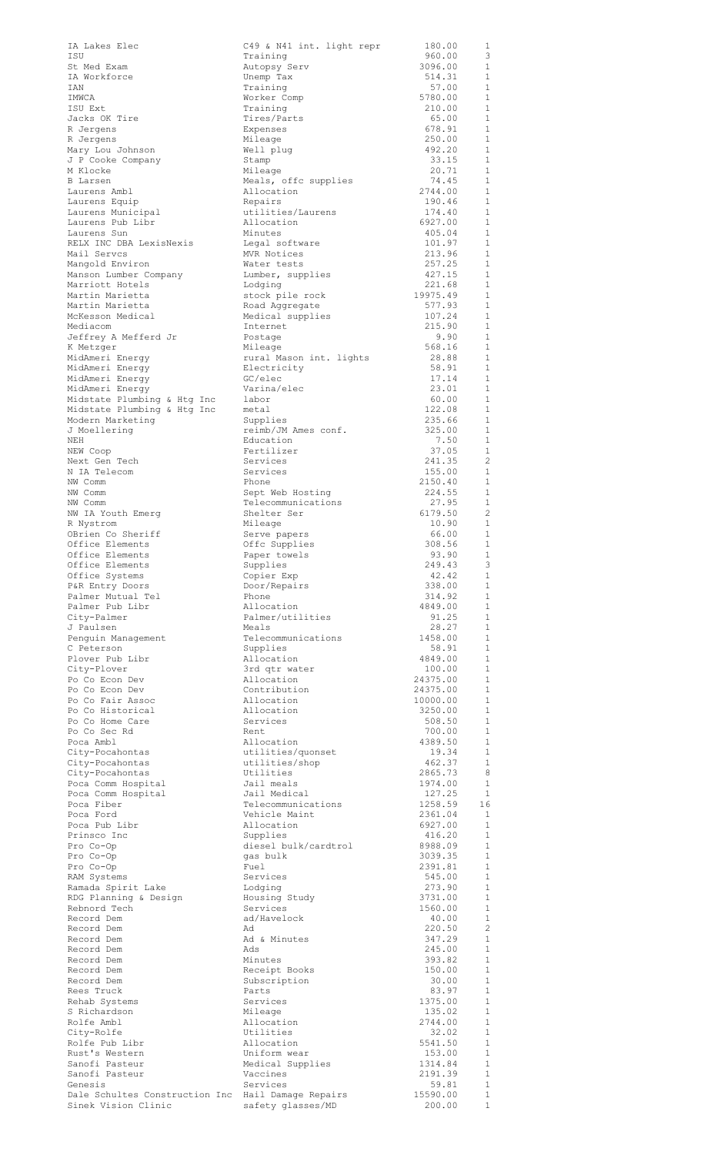| IA Lakes Elec                                  | C49 & N41 int. light repr              | 180.00               | 1                            |
|------------------------------------------------|----------------------------------------|----------------------|------------------------------|
| ISU<br>St Med Exam                             | Training<br>Autopsy Serv               | 960.00<br>3096.00    | 3<br>$\mathbf{1}$            |
| IA Workforce                                   | Unemp Tax                              | 514.31               | $\mathbf{1}$                 |
| IAN<br>IMWCA                                   | Training<br>Worker Comp                | 57.00<br>5780.00     | $\mathbf{1}$<br>$\mathbf{1}$ |
| ISU Ext                                        | Training                               | 210.00               | $\mathbf{1}$                 |
| Jacks OK Tire<br>R Jergens                     | Tires/Parts<br>Expenses                | 65.00<br>678.91      | $\mathbf{1}$<br>1            |
| R Jergens                                      | Mileage                                | 250.00               | 1                            |
| Mary Lou Johnson<br>J P Cooke Company          | Well plug                              | 492.20<br>33.15      | 1<br>$\mathbf{1}$            |
| M Klocke                                       | Stamp<br>Mileage                       | 20.71                | 1                            |
| <b>B</b> Larsen                                | Meals, offc supplies                   | 74.45<br>2744.00     | 1<br>1                       |
| Laurens Ambl<br>Laurens Equip                  | Allocation<br>Repairs                  | 190.46               | $\mathbf{1}$                 |
| Laurens Municipal                              | utilities/Laurens                      | 174.40               | $\mathbf{1}$                 |
| Laurens Pub Libr<br>Laurens Sun                | Allocation<br>Minutes                  | 6927.00<br>405.04    | 1<br>1                       |
| RELX INC DBA LexisNexis                        | Legal software                         | 101.97               | $\mathbf{1}$                 |
| Mail Servcs<br>Mangold Environ                 | MVR Notices<br>Water tests             | 213.96<br>257.25     | $\mathbf{1}$<br>1            |
| Manson Lumber Company                          | Lumber, supplies                       | 427.15               | $\mathbf{1}$                 |
| Marriott Hotels<br>Martin Marietta             | Lodging<br>stock pile rock             | 221.68<br>19975.49   | $\mathbf{1}$<br>$\mathbf{1}$ |
| Martin Marietta                                | Road Aggregate                         | 577.93               | $\mathbf{1}$                 |
| McKesson Medical<br>Mediacom                   | Medical supplies<br>Internet           | 107.24<br>215.90     | 1<br>$\mathbf{1}$            |
| Jeffrey A Mefferd Jr                           | Postage                                | 9.90                 | $\mathbf{1}$                 |
| K Metzger<br>MidAmeri Energy                   | Mileage                                | 568.16<br>28.88      | $\mathbf{1}$<br>$\mathbf{1}$ |
| MidAmeri Energy                                | rural Mason int. lights<br>Electricity | 58.91                | $\mathbf{1}$                 |
| MidAmeri Energy                                | GC/elec                                | 17.14                | $\mathbf{1}$                 |
| MidAmeri Energy<br>Midstate Plumbing & Htg Inc | Varina/elec<br>labor                   | 23.01<br>60.00       | $\mathbf{1}$<br>1            |
| Midstate Plumbing & Htg Inc                    | metal                                  | 122.08               | $\mathbf{1}$                 |
| Modern Marketing<br>J Moellering               | Supplies<br>reimb/JM Ames conf.        | 235.66<br>325.00     | 1<br>$\mathbf{1}$            |
| NEH                                            | Education                              | 7.50                 | $\mathbf{1}$                 |
| NEW Coop<br>Next Gen Tech                      | Fertilizer<br>Services                 | 37.05<br>241.35      | 1<br>2                       |
| N IA Telecom                                   | Services                               | 155.00               | $\mathbf{1}$                 |
| NW Comm<br>NW Comm                             | Phone<br>Sept Web Hosting              | 2150.40<br>224.55    | $\mathbf{1}$<br>1            |
| NW Comm                                        | Telecommunications                     | 27.95                | $\mathbf{1}$                 |
| NW IA Youth Emerg                              | Shelter Ser<br>Mileage                 | 6179.50<br>10.90     | 2<br>1                       |
| R Nystrom<br>OBrien Co Sheriff                 | Serve papers                           | 66.00                | 1                            |
| Office Elements                                | Offc Supplies                          | 308.56               | 1                            |
| Office Elements<br>Office Elements             | Paper towels<br>Supplies               | 93.90<br>249.43      | $\mathbf{1}$<br>3            |
| Office Systems                                 | Copier Exp                             | 42.42                | $\mathbf{1}$                 |
| P&R Entry Doors<br>Palmer Mutual Tel           | Door/Repairs<br>Phone                  | 338.00<br>314.92     | $\mathbf{1}$<br>1            |
| Palmer Pub Libr                                | Allocation                             | 4849.00              | 1                            |
| City-Palmer<br>J Paulsen                       | Palmer/utilities<br>Meals              | 91.25<br>28.27       | $\mathbf{1}$<br>1            |
| Penguin Management                             | Telecommunications                     | 1458.00              | $\mathbf{1}$                 |
| C Peterson<br>Plover Pub Libr                  | Supplies<br>Allocation                 | 58.91<br>4849.00     | $\mathbf{1}$<br>$\mathbf{1}$ |
| City-Plover                                    | 3rd qtr water                          | 100.00               | $\mathbf{1}$                 |
| Po Co Econ Dev<br>Po Co Econ Dev               | Allocation<br>Contribution             | 24375.00<br>24375.00 | 1<br>$\mathbf{1}$            |
| Po Co Fair Assoc                               | Allocation                             | 10000.00             | $\mathbf{1}$                 |
| Po Co Historical<br>Po Co Home Care            | Allocation<br>Services                 | 3250.00<br>508.50    | 1<br>1                       |
| Po Co Sec Rd                                   | Rent                                   | 700.00               | 1                            |
| Poca Ambl                                      | Allocation                             | 4389.50<br>19.34     | 1<br>1                       |
| City-Pocahontas<br>City-Pocahontas             | utilities/quonset<br>utilities/shop    | 462.37               | 1                            |
| City-Pocahontas                                | Utilities                              | 2865.73              | 8                            |
| Poca Comm Hospital<br>Poca Comm Hospital       | Jail meals<br>Jail Medical             | 1974.00<br>127.25    | 1<br>1                       |
| Poca Fiber                                     | Telecommunications                     | 1258.59              | 16                           |
| Poca Ford<br>Poca Pub Libr                     | Vehicle Maint<br>Allocation            | 2361.04<br>6927.00   | 1<br>1                       |
| Prinsco Inc                                    | Supplies                               | 416.20               | $\mathbf{1}$                 |
| Pro Co-Op<br>Pro Co-Op                         | diesel bulk/cardtrol<br>gas bulk       | 8988.09<br>3039.35   | $\mathbf{1}$<br>$\mathbf{1}$ |
| Pro Co-Op                                      | Fuel                                   | 2391.81              | $\mathbf{1}$                 |
| RAM Systems<br>Ramada Spirit Lake              | Services<br>Lodging                    | 545.00<br>273.90     | $\mathbf{1}$<br>$\mathbf{1}$ |
| RDG Planning & Design                          | Housing Study                          | 3731.00              | $\mathbf{1}$                 |
| Rebnord Tech<br>Record Dem                     | Services<br>ad/Havelock                | 1560.00<br>40.00     | $\mathbf{1}$<br>$\mathbf{1}$ |
| Record Dem                                     | Ad                                     | 220.50               | 2                            |
| Record Dem<br>Record Dem                       | Ad & Minutes<br>Ads                    | 347.29<br>245.00     | $\mathbf{1}$<br>1            |
| Record Dem                                     | Minutes                                | 393.82               | 1                            |
| Record Dem                                     | Receipt Books                          | 150.00               | 1<br>$\mathbf{1}$            |
| Record Dem<br>Rees Truck                       | Subscription<br>Parts                  | 30.00<br>83.97       | 1                            |
| Rehab Systems                                  | Services                               | 1375.00              | 1                            |
| S Richardson<br>Rolfe Ambl                     | Mileage<br>Allocation                  | 135.02<br>2744.00    | $\mathbf{1}$<br>$\mathbf{1}$ |
| City-Rolfe                                     | Utilities                              | 32.02                | $\mathbf{1}$                 |
| Rolfe Pub Libr<br>Rust's Western               | Allocation<br>Uniform wear             | 5541.50<br>153.00    | $\mathbf{1}$<br>$\mathbf{1}$ |
| Sanofi Pasteur                                 | Medical Supplies                       | 1314.84              | $\mathbf{1}$                 |
| Sanofi Pasteur<br>Genesis                      | Vaccines<br>Services                   | 2191.39<br>59.81     | $\mathbf{1}$<br>$\mathbf{1}$ |
| Dale Schultes Construction Inc                 | Hail Damage Repairs                    | 15590.00             | $\mathbf{1}$                 |
| Sinek Vision Clinic                            | safety glasses/MD                      | 200.00               | 1                            |